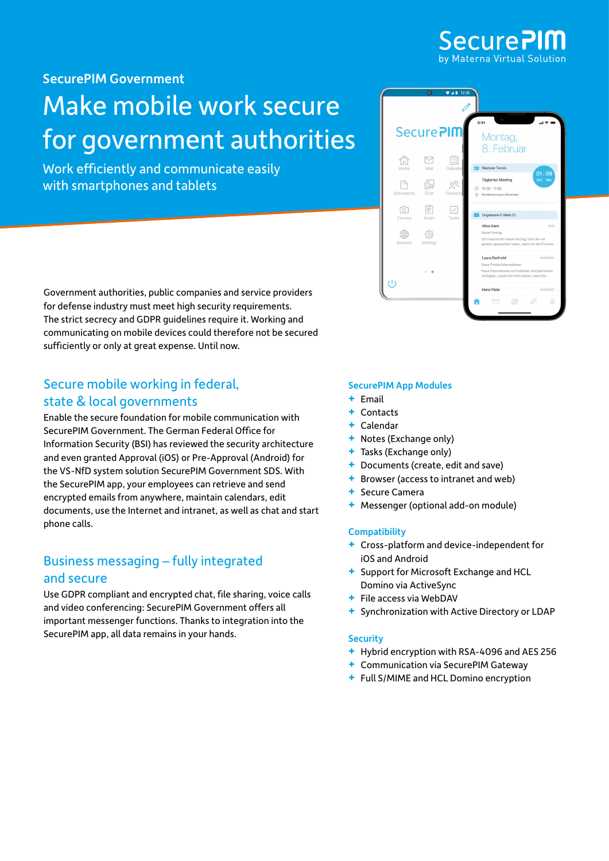## Secure<sub>Pl</sub> by Materna Virtual Solution

[SecurePIM Government](https://www.virtual-solution.com/securepim-government-sds/)

## Make mobile work secure for government authorities

Work efficiently and communicate easily with smartphones and tablets



Government authorities, public companies and service providers for defense industry must meet high security requirements. The strict secrecy and GDPR guidelines require it. Working and communicating on mobile devices could therefore not be secured sufficiently or only at great expense. Until now.

## Secure mobile working in federal, state & local governments

Enable the secure foundation for mobile communication with SecurePIM Government. The German Federal Office for Information Security (BSI) has reviewed the security architecture and even granted Approval (iOS) or Pre-Approval (Android) for the VS-NfD system solution SecurePIM Government SDS. With the SecurePIM app, your employees can retrieve and send encrypted emails from anywhere, maintain calendars, edit documents, use the Internet and intranet, as well as chat and start phone calls.

## Business messaging – fully integrated and secure

Use GDPR compliant and encrypted chat, file sharing, voice calls and video conferencing: SecurePIM Government offers all important messenger functions. Thanks to integration into the SecurePIM app, all data remains in your hands.

#### SecurePIM App Modules

- **+** Email
- **+** Contacts
- **+** Calendar
- **+** Notes (Exchange only)
- **+** Tasks (Exchange only)
- **+** Documents (create, edit and save)
- **+** Browser (access to intranet and web)
- **+** Secure Camera
- **+** Messenger (optional add-on module)

#### **Compatibility**

- **+** Cross-platform and device-independent for iOS and Android
- **+** Support for Microsoft Exchange and HCL Domino via ActiveSync
- **+** File access via WebDAV
- **+** Synchronization with Active Directory or LDAP

#### **Security**

- **+** Hybrid encryption with RSA-4096 and AES 256
- **+** Communication via SecurePIM Gateway
- **+** Full S/MIME and HCL Domino encryption